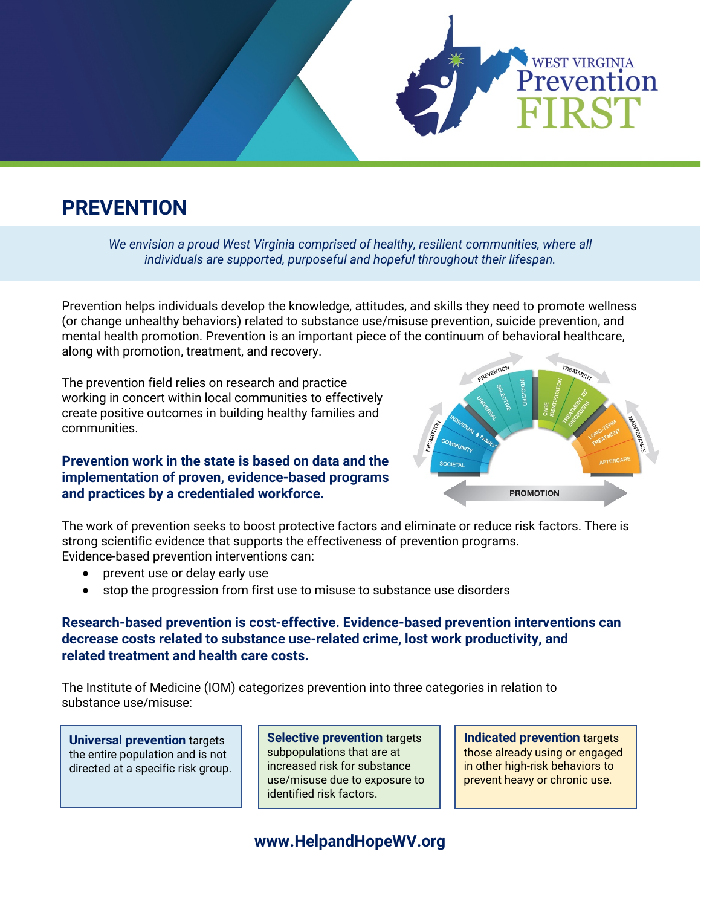

# **PREVENTION**

*We envision a proud West Virginia comprised of healthy, resilient communities, where all individuals are supported, purposeful and hopeful throughout their lifespan.*

Prevention helps individuals develop the knowledge, attitudes, and skills they need to promote wellness (or change unhealthy behaviors) related to substance use/misuse prevention, suicide prevention, and mental health promotion. Prevention is an important piece of the continuum of behavioral healthcare, along with promotion, treatment, and recovery.

The prevention field relies on research and practice working in concert within local communities to effectively create positive outcomes in building healthy families and communities.

### **Prevention work in the state is based on data and the implementation of proven, evidence-based programs and practices by a credentialed workforce.**



The work of prevention seeks to boost protective factors and eliminate or reduce risk factors. There is strong scientific evidence that supports the effectiveness of prevention programs. Evidence-based prevention interventions can:

- prevent use or delay early use
- stop the progression from first use to misuse to substance use disorders

## **Research-based prevention is cost-effective. Evidence-based prevention interventions can decrease costs related to substance use-related crime, lost work productivity, and related treatment and health care costs.**

The Institute of Medicine (IOM) categorizes prevention into three categories in relation to substance use/misuse:

**Universal prevention** targets the entire population and is not directed at a specific risk group.

**Selective prevention** targets subpopulations that are at increased risk for substance use/misuse due to exposure to identified risk factors.

**Indicated prevention** targets those already using or engaged in other high-risk behaviors to prevent heavy or chronic use.

**www.HelpandHopeWV.org**